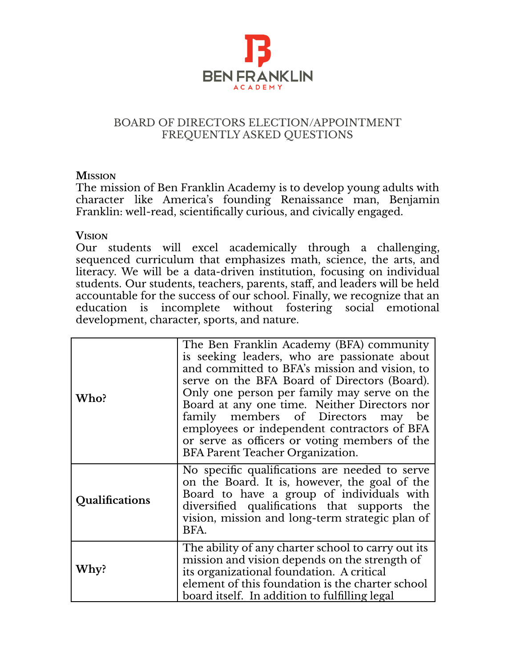

#### BOARD OF DIRECTORS ELECTION/APPOINTMENT FREQUENTLY ASKED QUESTIONS

#### **MISSION**

The mission of Ben Franklin Academy is to develop young adults with character like America's founding Renaissance man, Benjamin Franklin: well-read, scientifically curious, and civically engaged.

#### **VISION**

Our students will excel academically through a challenging, sequenced curriculum that emphasizes math, science, the arts, and literacy. We will be a data-driven institution, focusing on individual students. Our students, teachers, parents, staff, and leaders will be held accountable for the success of our school. Finally, we recognize that an education is incomplete without fostering social emotional development, character, sports, and nature.

| Who?           | The Ben Franklin Academy (BFA) community<br>is seeking leaders, who are passionate about<br>and committed to BFA's mission and vision, to<br>serve on the BFA Board of Directors (Board).<br>Only one person per family may serve on the<br>Board at any one time. Neither Directors nor<br>family members of Directors may be<br>employees or independent contractors of BFA<br>or serve as officers or voting members of the<br>BFA Parent Teacher Organization. |
|----------------|--------------------------------------------------------------------------------------------------------------------------------------------------------------------------------------------------------------------------------------------------------------------------------------------------------------------------------------------------------------------------------------------------------------------------------------------------------------------|
| Qualifications | No specific qualifications are needed to serve<br>on the Board. It is, however, the goal of the<br>Board to have a group of individuals with<br>diversified qualifications that supports the<br>vision, mission and long-term strategic plan of<br>BFA.                                                                                                                                                                                                            |
| Why?           | The ability of any charter school to carry out its<br>mission and vision depends on the strength of<br>its organizational foundation. A critical<br>element of this foundation is the charter school<br>board itself. In addition to fulfilling legal                                                                                                                                                                                                              |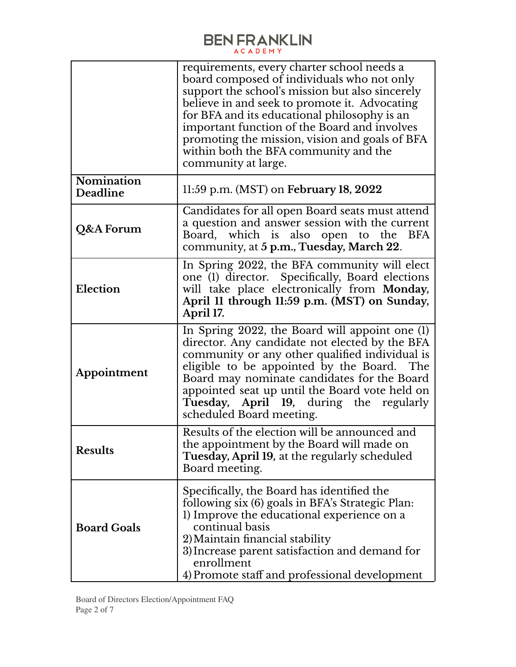|                               | requirements, every charter school needs a<br>board composed of individuals who not only<br>support the school's mission but also sincerely<br>believe in and seek to promote it. Advocating<br>for BFA and its educational philosophy is an<br>important function of the Board and involves<br>promoting the mission, vision and goals of BFA<br>within both the BFA community and the<br>community at large. |
|-------------------------------|----------------------------------------------------------------------------------------------------------------------------------------------------------------------------------------------------------------------------------------------------------------------------------------------------------------------------------------------------------------------------------------------------------------|
| <b>Nomination</b><br>Deadline | 11:59 p.m. (MST) on February 18, $2022$                                                                                                                                                                                                                                                                                                                                                                        |
| Q&A Forum                     | Candidates for all open Board seats must attend<br>a question and answer session with the current<br>Board, which is also open to the<br><b>BFA</b><br>community, at 5 p.m., Tuesday, March 22.                                                                                                                                                                                                                |
| Election                      | In Spring 2022, the BFA community will elect<br>one (1) director. Specifically, Board elections<br>will take place electronically from Monday,<br>April 11 through 11:59 p.m. (MST) on Sunday,<br>April 17.                                                                                                                                                                                                    |
| Appointment                   | In Spring 2022, the Board will appoint one (1)<br>director. Any candidate not elected by the BFA<br>community or any other qualified individual is<br>eligible to be appointed by the Board. The<br>Board may nominate candidates for the Board<br>appointed seat up until the Board vote held on<br>Tuesday, April 19, during the regularly<br>scheduled Board meeting.                                       |
| <b>Results</b>                | Results of the election will be announced and<br>the appointment by the Board will made on<br>Tuesday, April 19, at the regularly scheduled<br>Board meeting.                                                                                                                                                                                                                                                  |
| <b>Board Goals</b>            | Specifically, the Board has identified the<br>following six (6) goals in BFA's Strategic Plan:<br>1) Improve the educational experience on a<br>continual basis<br>2) Maintain financial stability<br>3) Increase parent satisfaction and demand for<br>enrollment<br>4) Promote staff and professional development                                                                                            |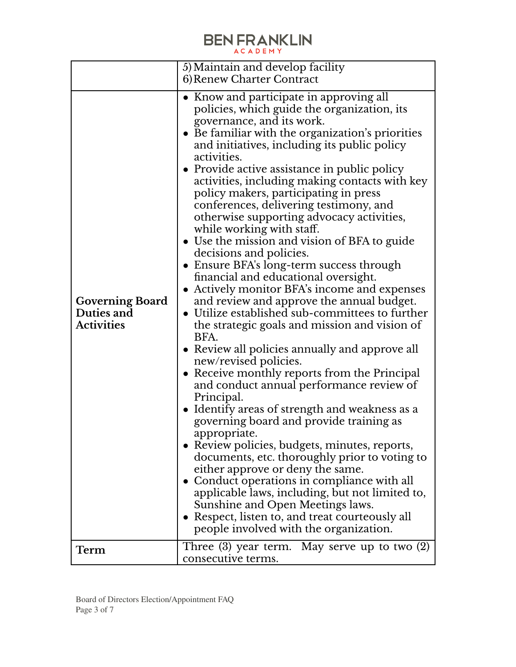|                                                           | 5) Maintain and develop facility                                                                                                                                                                                                                                                                                                                                                                                                                                                                                                                                                                                                                                                                                                                                                                                                                                                                                                                                                                                                                                                                                                                                                                                                                                                                                                                                                                                                                                                                                                                                                                             |
|-----------------------------------------------------------|--------------------------------------------------------------------------------------------------------------------------------------------------------------------------------------------------------------------------------------------------------------------------------------------------------------------------------------------------------------------------------------------------------------------------------------------------------------------------------------------------------------------------------------------------------------------------------------------------------------------------------------------------------------------------------------------------------------------------------------------------------------------------------------------------------------------------------------------------------------------------------------------------------------------------------------------------------------------------------------------------------------------------------------------------------------------------------------------------------------------------------------------------------------------------------------------------------------------------------------------------------------------------------------------------------------------------------------------------------------------------------------------------------------------------------------------------------------------------------------------------------------------------------------------------------------------------------------------------------------|
|                                                           | 6) Renew Charter Contract                                                                                                                                                                                                                                                                                                                                                                                                                                                                                                                                                                                                                                                                                                                                                                                                                                                                                                                                                                                                                                                                                                                                                                                                                                                                                                                                                                                                                                                                                                                                                                                    |
| <b>Governing Board</b><br>Duties and<br><b>Activities</b> | • Know and participate in approving all<br>policies, which guide the organization, its<br>governance, and its work.<br>• Be familiar with the organization's priorities<br>and initiatives, including its public policy<br>activities.<br>• Provide active assistance in public policy<br>activities, including making contacts with key<br>policy makers, participating in press<br>conferences, delivering testimony, and<br>otherwise supporting advocacy activities,<br>while working with staff.<br>• Use the mission and vision of BFA to guide<br>decisions and policies.<br>• Ensure BFA's long-term success through<br>financial and educational oversight.<br>• Actively monitor BFA's income and expenses<br>and review and approve the annual budget.<br>• Utilize established sub-committees to further<br>the strategic goals and mission and vision of<br>BFA.<br>• Review all policies annually and approve all<br>new/revised policies.<br>• Receive monthly reports from the Principal<br>and conduct annual performance review of<br>Principal.<br>• Identify areas of strength and weakness as a<br>governing board and provide training as<br>appropriate.<br>• Review policies, budgets, minutes, reports,<br>documents, etc. thoroughly prior to voting to<br>either approve or deny the same.<br>• Conduct operations in compliance with all<br>applicable laws, including, but not limited to,<br>Sunshine and Open Meetings laws.<br>• Respect, listen to, and treat courteously all<br>people involved with the organization.<br>Three $(3)$ year term. May serve up to two $(2)$ |
| Term                                                      | consecutive terms.                                                                                                                                                                                                                                                                                                                                                                                                                                                                                                                                                                                                                                                                                                                                                                                                                                                                                                                                                                                                                                                                                                                                                                                                                                                                                                                                                                                                                                                                                                                                                                                           |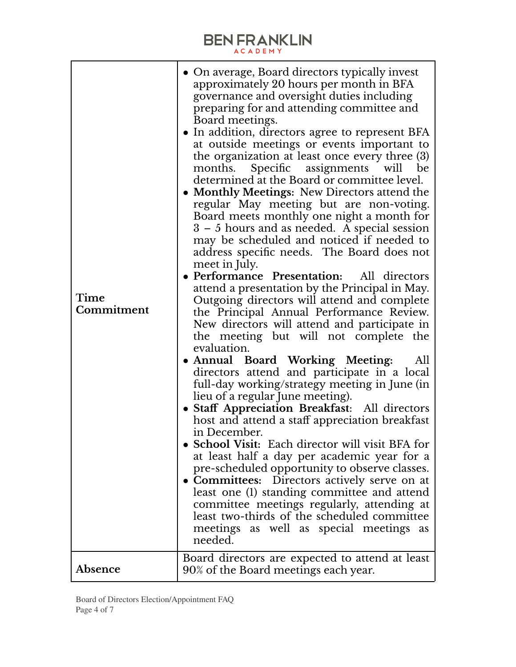| Time<br>Commitment | • On average, Board directors typically invest<br>approximately 20 hours per month in BFA<br>governance and oversight duties including<br>preparing for and attending committee and<br>Board meetings.<br>• In addition, directors agree to represent BFA<br>at outside meetings or events important to<br>the organization at least once every three (3)<br>months. Specific assignments will<br>be<br>determined at the Board or committee level.<br>• Monthly Meetings: New Directors attend the<br>regular May meeting but are non-voting.<br>Board meets monthly one night a month for<br>3 – 5 hours and as needed. A special session<br>may be scheduled and noticed if needed to<br>address specific needs. The Board does not<br>meet in July.<br>· Performance Presentation: All directors<br>attend a presentation by the Principal in May.<br>Outgoing directors will attend and complete<br>the Principal Annual Performance Review.<br>New directors will attend and participate in<br>the meeting but will not complete the<br>evaluation.<br>• Annual Board Working Meeting:<br>All<br>directors attend and participate in a local<br>full-day working/strategy meeting in June (in<br>lieu of a regular June meeting).<br>· Staff Appreciation Breakfast: All directors<br>host and attend a staff appreciation breakfast<br>in December.<br>• School Visit: Each director will visit BFA for<br>at least half a day per academic year for a<br>pre-scheduled opportunity to observe classes.<br>• Committees: Directors actively serve on at<br>least one (1) standing committee and attend<br>committee meetings regularly, attending at<br>least two-thirds of the scheduled committee<br>meetings as well as special meetings as<br>needed.<br>Board directors are expected to attend at least |
|--------------------|---------------------------------------------------------------------------------------------------------------------------------------------------------------------------------------------------------------------------------------------------------------------------------------------------------------------------------------------------------------------------------------------------------------------------------------------------------------------------------------------------------------------------------------------------------------------------------------------------------------------------------------------------------------------------------------------------------------------------------------------------------------------------------------------------------------------------------------------------------------------------------------------------------------------------------------------------------------------------------------------------------------------------------------------------------------------------------------------------------------------------------------------------------------------------------------------------------------------------------------------------------------------------------------------------------------------------------------------------------------------------------------------------------------------------------------------------------------------------------------------------------------------------------------------------------------------------------------------------------------------------------------------------------------------------------------------------------------------------------------------------------------------------------------------------------------------|
| <b>Absence</b>     | 90% of the Board meetings each year.                                                                                                                                                                                                                                                                                                                                                                                                                                                                                                                                                                                                                                                                                                                                                                                                                                                                                                                                                                                                                                                                                                                                                                                                                                                                                                                                                                                                                                                                                                                                                                                                                                                                                                                                                                                |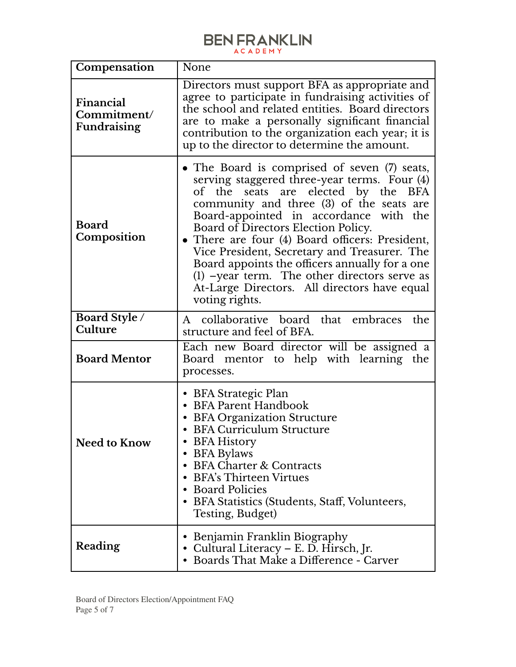| Compensation                                   | None                                                                                                                                                                                                                                                                                                                                                                                                                                                                                                                                                |
|------------------------------------------------|-----------------------------------------------------------------------------------------------------------------------------------------------------------------------------------------------------------------------------------------------------------------------------------------------------------------------------------------------------------------------------------------------------------------------------------------------------------------------------------------------------------------------------------------------------|
| Financial<br>Commitment/<br><b>Fundraising</b> | Directors must support BFA as appropriate and<br>agree to participate in fundraising activities of<br>the school and related entities. Board directors<br>are to make a personally significant financial<br>contribution to the organization each year; it is<br>up to the director to determine the amount.                                                                                                                                                                                                                                        |
| <b>Board</b><br>Composition                    | • The Board is comprised of seven (7) seats,<br>serving staggered three-year terms. Four (4)<br>of the seats are elected by the<br><b>BFA</b><br>community and three (3) of the seats are<br>Board-appointed in accordance with the<br>Board of Directors Election Policy.<br>• There are four (4) Board officers: President,<br>Vice President, Secretary and Treasurer. The<br>Board appoints the officers annually for a one<br>$(1)$ -year term. The other directors serve as<br>At-Large Directors. All directors have equal<br>voting rights. |
| Board Style /<br>Culture                       | A collaborative board that embraces the<br>structure and feel of BFA.                                                                                                                                                                                                                                                                                                                                                                                                                                                                               |
| <b>Board Mentor</b>                            | Each new Board director will be assigned a<br>Board mentor to help with learning the<br>processes.                                                                                                                                                                                                                                                                                                                                                                                                                                                  |
| <b>Need to Know</b>                            | • BFA Strategic Plan<br>• BFA Parent Handbook<br>• BFA Organization Structure<br>• BFA Curriculum Structure<br>• BFA History<br>• BFA Bylaws<br><b>BFA Charter &amp; Contracts</b><br>$\bullet$<br><b>BFA's Thirteen Virtues</b><br><b>Board Policies</b><br>$\bullet$<br>• BFA Statistics (Students, Staff, Volunteers,<br>Testing, Budget)                                                                                                                                                                                                        |
| Reading                                        | Benjamin Franklin Biography<br>٠<br>• Cultural Literacy - E. D. Hirsch, Jr.<br>• Boards That Make a Difference - Carver                                                                                                                                                                                                                                                                                                                                                                                                                             |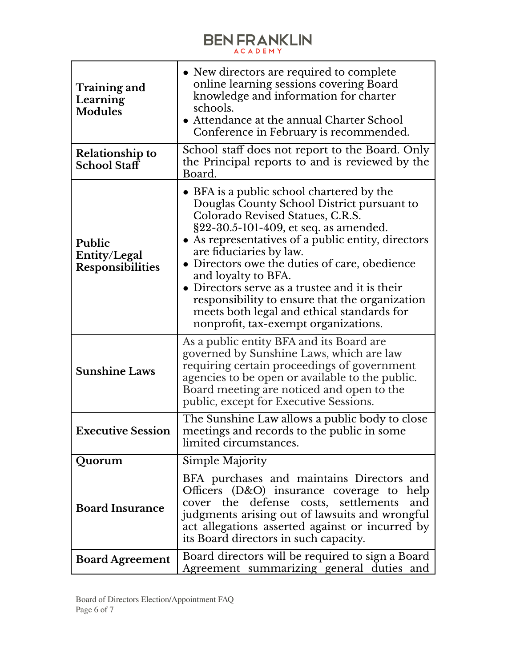| Training and<br>Learning<br><b>Modules</b>               | • New directors are required to complete<br>online learning sessions covering Board<br>knowledge and information for charter<br>schools.<br>• Attendance at the annual Charter School<br>Conference in February is recommended.                                                                                                                                                                                                                                                                                         |
|----------------------------------------------------------|-------------------------------------------------------------------------------------------------------------------------------------------------------------------------------------------------------------------------------------------------------------------------------------------------------------------------------------------------------------------------------------------------------------------------------------------------------------------------------------------------------------------------|
| <b>Relationship to</b><br>School Staff                   | School staff does not report to the Board. Only<br>the Principal reports to and is reviewed by the<br>Board.                                                                                                                                                                                                                                                                                                                                                                                                            |
| <b>Public</b><br>Entity/Legal<br><b>Responsibilities</b> | • BFA is a public school chartered by the<br>Douglas County School District pursuant to<br>Colorado Revised Statues, C.R.S.<br>§22-30.5-101-409, et seq. as amended.<br>• As representatives of a public entity, directors<br>are fiduciaries by law.<br>• Directors owe the duties of care, obedience<br>and loyalty to BFA.<br>• Directors serve as a trustee and it is their<br>responsibility to ensure that the organization<br>meets both legal and ethical standards for<br>nonprofit, tax-exempt organizations. |
| <b>Sunshine Laws</b>                                     | As a public entity BFA and its Board are<br>governed by Sunshine Laws, which are law<br>requiring certain proceedings of government<br>agencies to be open or available to the public.<br>Board meeting are noticed and open to the<br>public, except for Executive Sessions.                                                                                                                                                                                                                                           |
| <b>Executive Session</b>                                 | The Sunshine Law allows a public body to close<br>meetings and records to the public in some<br>limited circumstances.                                                                                                                                                                                                                                                                                                                                                                                                  |
| Quorum                                                   | Simple Majority                                                                                                                                                                                                                                                                                                                                                                                                                                                                                                         |
| <b>Board Insurance</b>                                   | BFA purchases and maintains Directors and<br>Officers (D&O) insurance coverage to help<br>cover the defense costs, settlements<br>and<br>judgments arising out of lawsuits and wrongful<br>act allegations asserted against or incurred by<br>its Board directors in such capacity.                                                                                                                                                                                                                                     |
| <b>Board Agreement</b>                                   | Board directors will be required to sign a Board<br>Agreement summarizing general duties and                                                                                                                                                                                                                                                                                                                                                                                                                            |